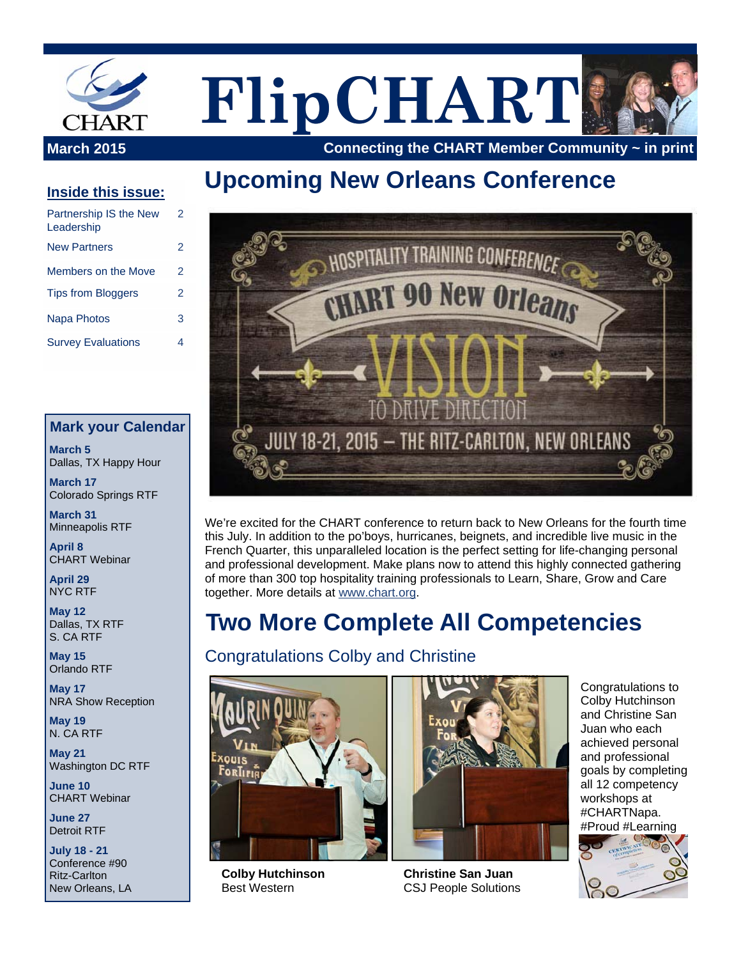

# **FlipCHART**

**March 2015** Connecting the CHART Member Community ~ in print

# **Upcoming New Orleans Conference**

#### **Inside this issue:**

| Partnership IS the New<br>Leadership | 2 |
|--------------------------------------|---|
| <b>New Partners</b>                  | 2 |
| Members on the Move                  | 2 |
| <b>Tips from Bloggers</b>            | 2 |
| Napa Photos                          | 3 |
| <b>Survey Evaluations</b>            |   |

#### **Mark your Calendar**

**March 5**  Dallas, TX Happy Hour

**March 17**  Colorado Springs RTF

**March 31**  Minneapolis RTF

**April 8**  CHART Webinar

**April 29**  NYC RTF

**May 12**  Dallas, TX RTF S. CA RTF

**May 15**  Orlando RTF

**May 17**  NRA Show Reception

**May 19**  N. CA RTF

**May 21**  Washington DC RTF

**June 10**  CHART Webinar

**June 27**  Detroit RTF

**July 18 - 21**  Conference #90 Ritz-Carlton New Orleans, LA



We're excited for the CHART conference to return back to New Orleans for the fourth time this July. In addition to the po'boys, hurricanes, beignets, and incredible live music in the French Quarter, this unparalleled location is the perfect setting for life-changing personal and professional development. Make plans now to attend this highly connected gathering of more than 300 top hospitality training professionals to Learn, Share, Grow and Care together. More details at www.chart.org.

# **Two More Complete All Competencies**

#### Congratulations Colby and Christine



**Colby Hutchinson**  Best Western



**Christine San Juan**  CSJ People Solutions

Congratulations to Colby Hutchinson and Christine San Juan who each achieved personal and professional goals by completing all 12 competency workshops at #CHARTNapa. #Proud #Learning

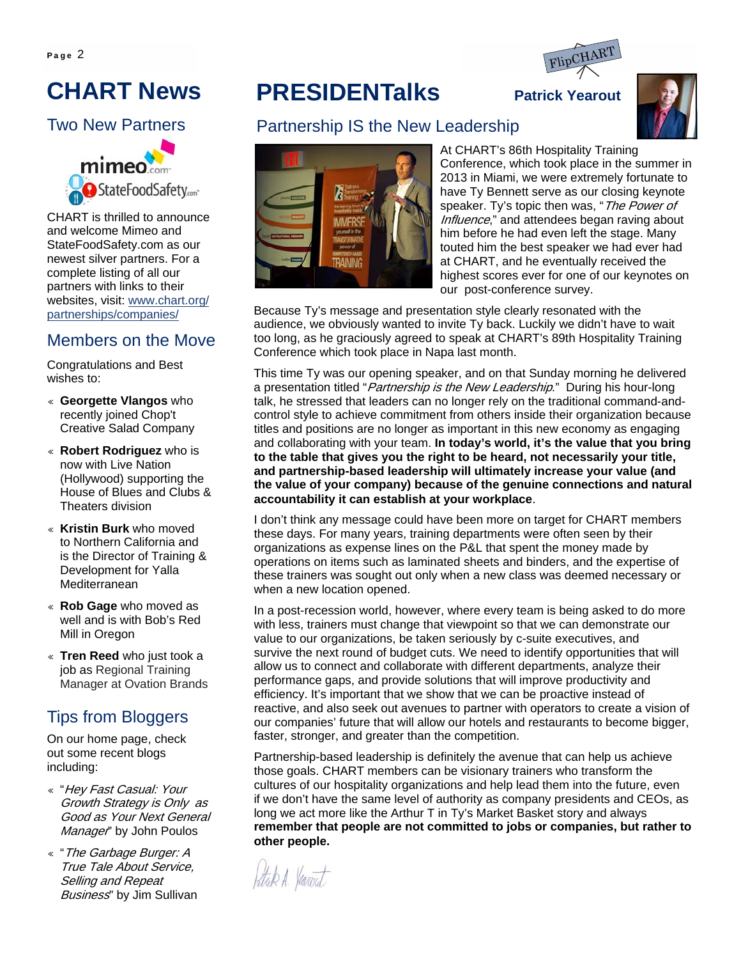

# **CHART News**

#### Two New Partners



CHART is thrilled to announce and welcome Mimeo and StateFoodSafety.com as our newest silver partners. For a complete listing of all our partners with links to their websites, visit: www.chart.org/ partnerships/companies/

#### Members on the Move

Congratulations and Best wishes to:

- ♦ **Georgette Vlangos** who recently joined Chop't Creative Salad Company
- ♦ **Robert Rodriguez** who is now with Live Nation (Hollywood) supporting the House of Blues and Clubs & Theaters division
- ♦ **Kristin Burk** who moved to Northern California and is the Director of Training & Development for Yalla Mediterranean
- ♦ **Rob Gage** who moved as well and is with Bob's Red Mill in Oregon
- ♦ **Tren Reed** who just took a job as Regional Training Manager at Ovation Brands

### Tips from Bloggers

On our home page, check out some recent blogs including:

- « "Hey Fast Casual: Your Growth Strategy is Only as Good as Your Next General Manager" by John Poulos
- ♦ "The Garbage Burger: A True Tale About Service, Selling and Repeat Business" by Jim Sullivan

# **PRESIDENTalks** Patrick Yearout



#### Partnership IS the New Leadership



At CHART's 86th Hospitality Training Conference, which took place in the summer in 2013 in Miami, we were extremely fortunate to have Ty Bennett serve as our closing keynote speaker. Ty's topic then was, "The Power of Influence," and attendees began raving about him before he had even left the stage. Many touted him the best speaker we had ever had at CHART, and he eventually received the highest scores ever for one of our keynotes on our post-conference survey.

Because Ty's message and presentation style clearly resonated with the audience, we obviously wanted to invite Ty back. Luckily we didn't have to wait too long, as he graciously agreed to speak at CHART's 89th Hospitality Training Conference which took place in Napa last month.

This time Ty was our opening speaker, and on that Sunday morning he delivered a presentation titled "*Partnership is the New Leadership*." During his hour-long talk, he stressed that leaders can no longer rely on the traditional command-andcontrol style to achieve commitment from others inside their organization because titles and positions are no longer as important in this new economy as engaging and collaborating with your team. **In today's world, it's the value that you bring to the table that gives you the right to be heard, not necessarily your title, and partnership-based leadership will ultimately increase your value (and the value of your company) because of the genuine connections and natural accountability it can establish at your workplace**.

I don't think any message could have been more on target for CHART members these days. For many years, training departments were often seen by their organizations as expense lines on the P&L that spent the money made by operations on items such as laminated sheets and binders, and the expertise of these trainers was sought out only when a new class was deemed necessary or when a new location opened.

In a post-recession world, however, where every team is being asked to do more with less, trainers must change that viewpoint so that we can demonstrate our value to our organizations, be taken seriously by c-suite executives, and survive the next round of budget cuts. We need to identify opportunities that will allow us to connect and collaborate with different departments, analyze their performance gaps, and provide solutions that will improve productivity and efficiency. It's important that we show that we can be proactive instead of reactive, and also seek out avenues to partner with operators to create a vision of our companies' future that will allow our hotels and restaurants to become bigger, faster, stronger, and greater than the competition.

Partnership-based leadership is definitely the avenue that can help us achieve those goals. CHART members can be visionary trainers who transform the cultures of our hospitality organizations and help lead them into the future, even if we don't have the same level of authority as company presidents and CEOs, as long we act more like the Arthur T in Ty's Market Basket story and always **remember that people are not committed to jobs or companies, but rather to other people.**

Strik A. Verevat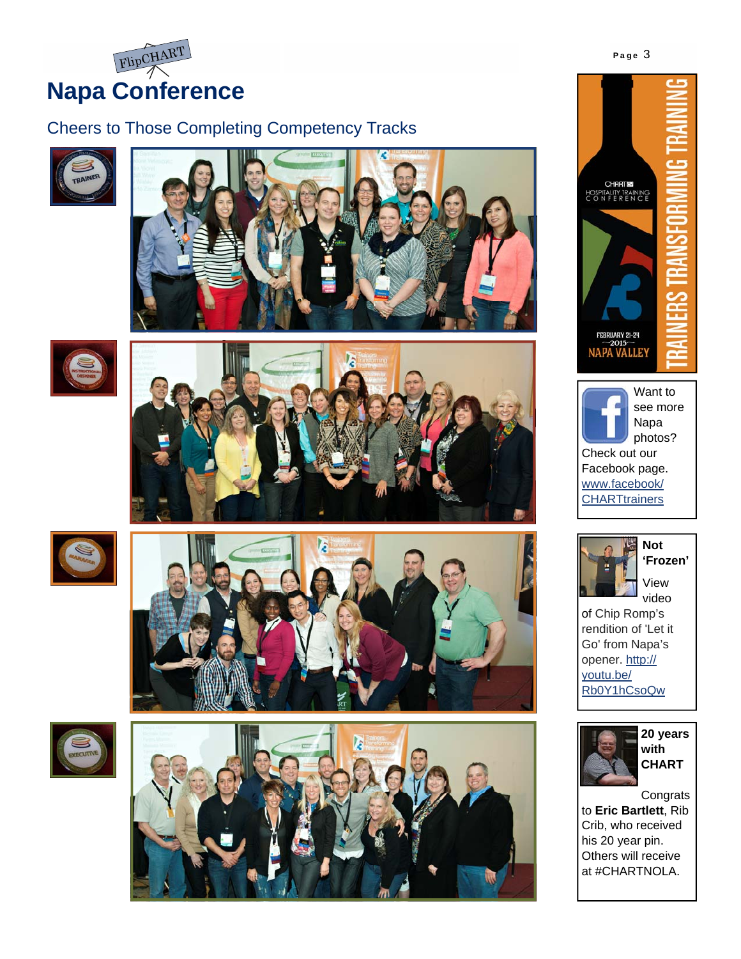

### Cheers to Those Completing Competency Tracks





















of Chip Romp's rendition of 'Let it Go' from Napa's opener. http:// youtu.be/ Rb0Y1hCsoQw



**20 years with CHART**

**Congrats** to **Eric Bartlett**, Rib Crib, who received his 20 year pin. Others will receive at #CHARTNOLA.